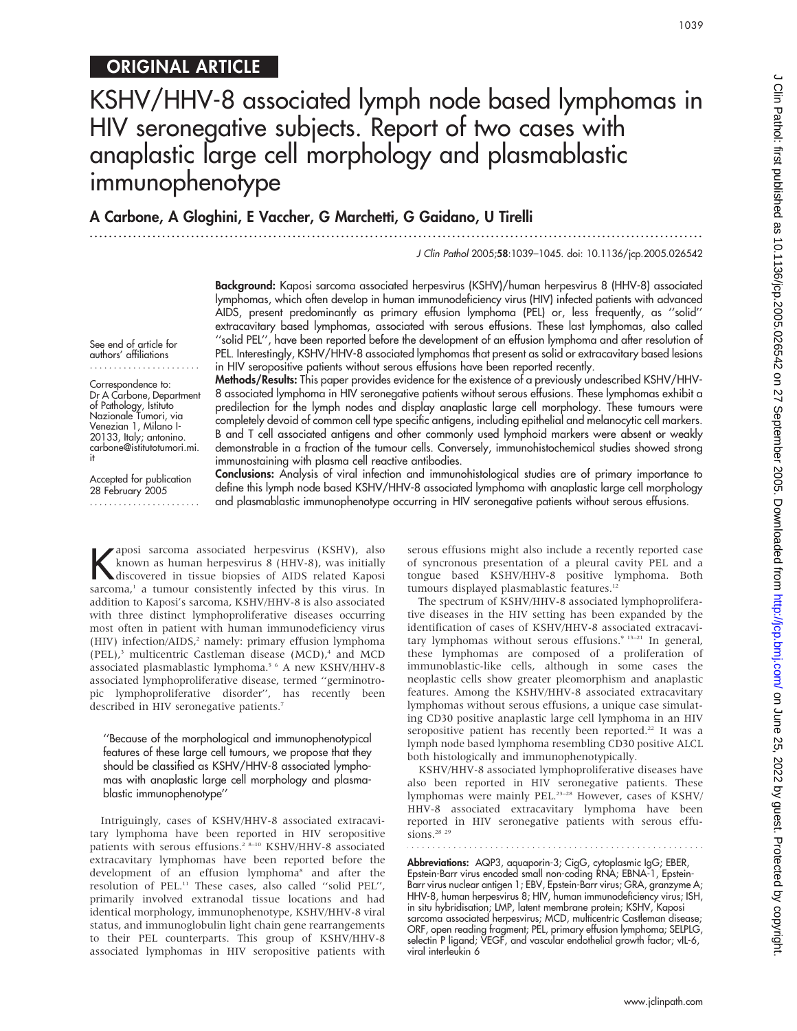See end of article for authors' affiliations

Correspondence to: Dr A Carbone, Department of Pathology, Istituto Nazionale Tumori, via Venezian 1, Milano I-20133, Italy; antonino. carbone@istitutotumori.mi.

Accepted for publication 28 February 2005 .......................

it

# KSHV/HHV-8 associated lymph node based lymphomas in HIV seronegative subjects. Report of two cases with anaplastic large cell morphology and plasmablastic immunophenotype

...............................................................................................................................

A Carbone, A Gloghini, E Vaccher, G Marchetti, G Gaidano, U Tirelli

J Clin Pathol 2005;58:1039–1045. doi: 10.1136/jcp.2005.026542

Background: Kaposi sarcoma associated herpesvirus (KSHV)/human herpesvirus 8 (HHV-8) associated lymphomas, which often develop in human immunodeficiency virus (HIV) infected patients with advanced AIDS, present predominantly as primary effusion lymphoma (PEL) or, less frequently, as ''solid'' extracavitary based lymphomas, associated with serous effusions. These last lymphomas, also called ''solid PEL'', have been reported before the development of an effusion lymphoma and after resolution of PEL. Interestingly, KSHV/HHV-8 associated lymphomas that present as solid or extracavitary based lesions in HIV seropositive patients without serous effusions have been reported recently.

Methods/Results: This paper provides evidence for the existence of a previously undescribed KSHV/HHV-8 associated lymphoma in HIV seronegative patients without serous effusions. These lymphomas exhibit a predilection for the lymph nodes and display anaplastic large cell morphology. These tumours were completely devoid of common cell type specific antigens, including epithelial and melanocytic cell markers. B and T cell associated antigens and other commonly used lymphoid markers were absent or weakly demonstrable in a fraction of the tumour cells. Conversely, immunohistochemical studies showed strong immunostaining with plasma cell reactive antibodies.

Conclusions: Analysis of viral infection and immunohistological studies are of primary importance to define this lymph node based KSHV/HHV-8 associated lymphoma with anaplastic large cell morphology and plasmablastic immunophenotype occurring in HIV seronegative patients without serous effusions.

Kaposi sarcoma associated herpesvirus (KSHV), also<br>known as human herpesvirus 8 (HHV-8), was initially<br>discovered in tissue biopsies of AIDS related Kaposi known as human herpesvirus 8 (HHV-8), was initially sarcoma,<sup>1</sup> a tumour consistently infected by this virus. In addition to Kaposi's sarcoma, KSHV/HHV-8 is also associated with three distinct lymphoproliferative diseases occurring most often in patient with human immunodeficiency virus (HIV) infection/AIDS,<sup>2</sup> namely: primary effusion lymphoma (PEL), $3$  multicentric Castleman disease (MCD), $4$  and MCD associated plasmablastic lymphoma.<sup>5 6</sup> A new KSHV/HHV-8 associated lymphoproliferative disease, termed ''germinotropic lymphoproliferative disorder'', has recently been described in HIV seronegative patients.<sup>7</sup>

''Because of the morphological and immunophenotypical features of these large cell tumours, we propose that they should be classified as KSHV/HHV-8 associated lymphomas with anaplastic large cell morphology and plasmablastic immunophenotype''

Intriguingly, cases of KSHV/HHV-8 associated extracavitary lymphoma have been reported in HIV seropositive patients with serous effusions.<sup>2</sup><sup>8-10</sup> KSHV/HHV-8 associated extracavitary lymphomas have been reported before the development of an effusion lymphoma<sup>8</sup> and after the resolution of PEL.11 These cases, also called ''solid PEL'', primarily involved extranodal tissue locations and had identical morphology, immunophenotype, KSHV/HHV-8 viral status, and immunoglobulin light chain gene rearrangements to their PEL counterparts. This group of KSHV/HHV-8 associated lymphomas in HIV seropositive patients with

serous effusions might also include a recently reported case of syncronous presentation of a pleural cavity PEL and a tongue based KSHV/HHV-8 positive lymphoma. Both tumours displayed plasmablastic features.<sup>12</sup>

The spectrum of KSHV/HHV-8 associated lymphoproliferative diseases in the HIV setting has been expanded by the identification of cases of KSHV/HHV-8 associated extracavitary lymphomas without serous effusions.<sup>9</sup> <sup>13-21</sup> In general, these lymphomas are composed of a proliferation of immunoblastic-like cells, although in some cases the neoplastic cells show greater pleomorphism and anaplastic features. Among the KSHV/HHV-8 associated extracavitary lymphomas without serous effusions, a unique case simulating CD30 positive anaplastic large cell lymphoma in an HIV seropositive patient has recently been reported.<sup>22</sup> It was a lymph node based lymphoma resembling CD30 positive ALCL both histologically and immunophenotypically.

KSHV/HHV-8 associated lymphoproliferative diseases have also been reported in HIV seronegative patients. These lymphomas were mainly PEL.23–28 However, cases of KSHV/ HHV-8 associated extracavitary lymphoma have been reported in HIV seronegative patients with serous effusions.<sup>28</sup> <sup>29</sup>

**Abbreviations:** AQP3, aquaporin-3; CigG, cytoplasmic IgG; EBER, Epstein-Barr virus encoded small non-coding RNA; EBNA-1, Epstein-Barr virus nuclear antigen 1; EBV, Epstein-Barr virus; GRA, granzyme A; HHV-8, human herpesvirus 8; HIV, human immunodeficiency virus; ISH, in situ hybridisation; LMP, latent membrane protein; KSHV, Kaposi sarcoma associated herpesvirus; MCD, multicentric Castleman disease; ORF, open reading fragment; PEL, primary effusion lymphoma; SELPLG, selectin P ligand; VEGF, and vascular endothelial growth factor; vIL-6, viral interleukin 6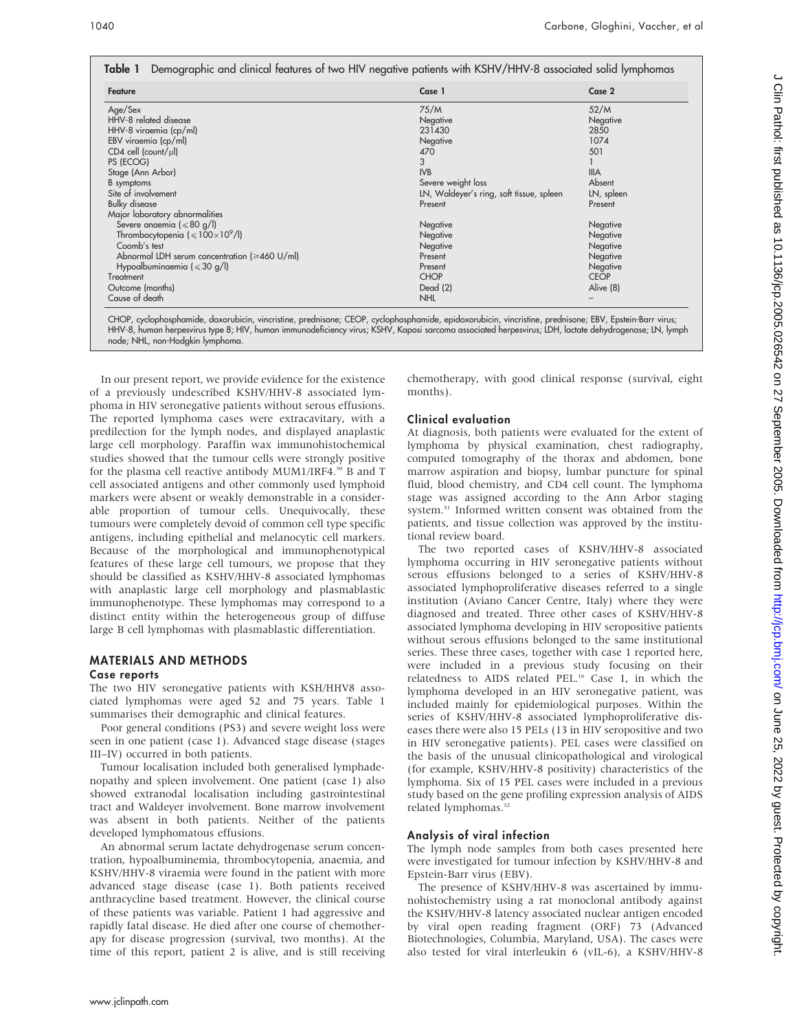| Feature                                             | Case 1                                   | Case 2      |
|-----------------------------------------------------|------------------------------------------|-------------|
| Age/Sex                                             | 75/M                                     | 52/M        |
| HHV-8 related disease                               | Negative                                 | Negative    |
| HHV-8 viraemia (cp/ml)                              | 231430                                   | 2850        |
| EBV viraemia (cp/ml)                                | Negative                                 | 1074        |
| $CD4$ cell (count/ $\mu$ l)                         | 470                                      | 501         |
| PS (ECOG)                                           | 3                                        |             |
| Stage (Ann Arbor)                                   | <b>IVB</b>                               | <b>IIIA</b> |
| B symptoms                                          | Severe weight loss                       | Absent      |
| Site of involvement                                 | LN, Waldeyer's ring, soft tissue, spleen | LN, spleen  |
| <b>Bulky disease</b>                                | Present                                  | Present     |
| Major laboratory abnormalities                      |                                          |             |
| Severe anaemia ( $\leq 80$ g/l)                     | Negative                                 | Negative    |
| Thrombocytopenia $\leq 100 \times 10^9$ /l)         | Negative                                 | Negative    |
| Coomb's test                                        | Negative                                 | Negative    |
| Abnormal LDH serum concentration ( $\geq 460$ U/ml) | Present                                  | Negative    |
| Hypoalbuminaemia ( $\leq 30$ g/l)                   | Present                                  | Negative    |
| Treatment                                           | <b>CHOP</b>                              | <b>CEOP</b> |
| Outcome (months)                                    | Dead (2)                                 | Alive (8)   |
| Cause of death                                      | <b>NHL</b>                               |             |

CHOP, cyclophosphamide, doxorubicin, vincristine, prednisone; CEOP, cyclophosphamide, epidoxorubicin, vincristine, prednisone; EBV, Epstein-Barr virus; HHV-8, human herpesvirus type 8; HIV, human immunodeficiency virus; KSHV, Kaposi sarcoma associated herpesvirus; LDH, lactate dehydrogenase; LN, lymph node; NHL, non-Hodgkin lymphoma.

In our present report, we provide evidence for the existence of a previously undescribed KSHV/HHV-8 associated lymphoma in HIV seronegative patients without serous effusions. The reported lymphoma cases were extracavitary, with a predilection for the lymph nodes, and displayed anaplastic large cell morphology. Paraffin wax immunohistochemical studies showed that the tumour cells were strongly positive for the plasma cell reactive antibody MUM1/IRF4.30 B and T cell associated antigens and other commonly used lymphoid markers were absent or weakly demonstrable in a considerable proportion of tumour cells. Unequivocally, these tumours were completely devoid of common cell type specific antigens, including epithelial and melanocytic cell markers. Because of the morphological and immunophenotypical features of these large cell tumours, we propose that they should be classified as KSHV/HHV-8 associated lymphomas with anaplastic large cell morphology and plasmablastic immunophenotype. These lymphomas may correspond to a distinct entity within the heterogeneous group of diffuse large B cell lymphomas with plasmablastic differentiation.

## MATERIALS AND METHODS

#### Case reports

The two HIV seronegative patients with KSH/HHV8 associated lymphomas were aged 52 and 75 years. Table 1 summarises their demographic and clinical features.

Poor general conditions (PS3) and severe weight loss were seen in one patient (case 1). Advanced stage disease (stages III–IV) occurred in both patients.

Tumour localisation included both generalised lymphadenopathy and spleen involvement. One patient (case 1) also showed extranodal localisation including gastrointestinal tract and Waldeyer involvement. Bone marrow involvement was absent in both patients. Neither of the patients developed lymphomatous effusions.

An abnormal serum lactate dehydrogenase serum concentration, hypoalbuminemia, thrombocytopenia, anaemia, and KSHV/HHV-8 viraemia were found in the patient with more advanced stage disease (case 1). Both patients received anthracycline based treatment. However, the clinical course of these patients was variable. Patient 1 had aggressive and rapidly fatal disease. He died after one course of chemotherapy for disease progression (survival, two months). At the time of this report, patient 2 is alive, and is still receiving chemotherapy, with good clinical response (survival, eight months).

## Clinical evaluation

At diagnosis, both patients were evaluated for the extent of lymphoma by physical examination, chest radiography, computed tomography of the thorax and abdomen, bone marrow aspiration and biopsy, lumbar puncture for spinal fluid, blood chemistry, and CD4 cell count. The lymphoma stage was assigned according to the Ann Arbor staging system.31 Informed written consent was obtained from the patients, and tissue collection was approved by the institutional review board.

The two reported cases of KSHV/HHV-8 associated lymphoma occurring in HIV seronegative patients without serous effusions belonged to a series of KSHV/HHV-8 associated lymphoproliferative diseases referred to a single institution (Aviano Cancer Centre, Italy) where they were diagnosed and treated. Three other cases of KSHV/HHV-8 associated lymphoma developing in HIV seropositive patients without serous effusions belonged to the same institutional series. These three cases, together with case 1 reported here, were included in a previous study focusing on their relatedness to AIDS related PEL.16 Case 1, in which the lymphoma developed in an HIV seronegative patient, was included mainly for epidemiological purposes. Within the series of KSHV/HHV-8 associated lymphoproliferative diseases there were also 15 PELs (13 in HIV seropositive and two in HIV seronegative patients). PEL cases were classified on the basis of the unusual clinicopathological and virological (for example, KSHV/HHV-8 positivity) characteristics of the lymphoma. Six of 15 PEL cases were included in a previous study based on the gene profiling expression analysis of AIDS related lymphomas.<sup>32</sup>

## Analysis of viral infection

The lymph node samples from both cases presented here were investigated for tumour infection by KSHV/HHV-8 and Epstein-Barr virus (EBV).

The presence of KSHV/HHV-8 was ascertained by immunohistochemistry using a rat monoclonal antibody against the KSHV/HHV-8 latency associated nuclear antigen encoded by viral open reading fragment (ORF) 73 (Advanced Biotechnologies, Columbia, Maryland, USA). The cases were also tested for viral interleukin 6 (vIL-6), a KSHV/HHV-8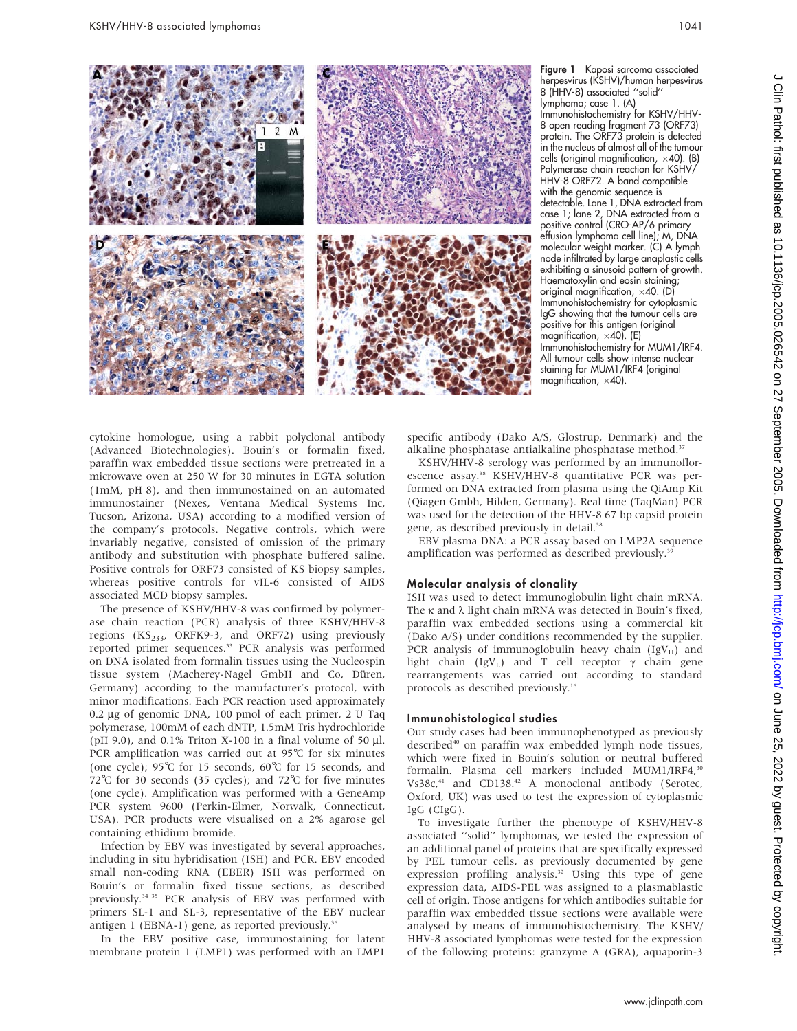

Figure 1 Kaposi sarcoma associated herpesvirus (KSHV)/human herpesvirus 8 (HHV-8) associated ''solid'' lymphoma; case 1. (A) Immunohistochemistry for KSHV/HHV-8 open reading fragment 73 (ORF73) protein. The ORF73 protein is detected in the nucleus of almost all of the tumour cells (original magnification,  $\times$ 40). (B) Polymerase chain reaction for KSHV/ HHV-8 ORF72. A band compatible with the genomic sequence is detectable. Lane 1, DNA extracted from case 1; lane 2, DNA extracted from a positive control (CRO-AP/6 primary effusion lymphoma cell line); M, DNA molecular weight marker. (C) A lymph node infiltrated by large anaplastic cells exhibiting a sinusoid pattern of growth. Haematoxylin and eosin staining; original magnification,  $\times$ 40. (D) Immunohistochemistry for cytoplasmic IgG showing that the tumour cells are positive for this antigen (original magnification,  $\times$ 40). (E) Immunohistochemistry for MUM1/IRF4. All tumour cells show intense nuclear staining for MUM1/IRF4 (original magnification,  $\times$ 40).

cytokine homologue, using a rabbit polyclonal antibody (Advanced Biotechnologies). Bouin's or formalin fixed, paraffin wax embedded tissue sections were pretreated in a microwave oven at 250 W for 30 minutes in EGTA solution (1mM, pH 8), and then immunostained on an automated immunostainer (Nexes, Ventana Medical Systems Inc, Tucson, Arizona, USA) according to a modified version of the company's protocols. Negative controls, which were invariably negative, consisted of omission of the primary antibody and substitution with phosphate buffered saline. Positive controls for ORF73 consisted of KS biopsy samples, whereas positive controls for vIL-6 consisted of AIDS associated MCD biopsy samples.

The presence of KSHV/HHV-8 was confirmed by polymerase chain reaction (PCR) analysis of three KSHV/HHV-8 regions  $(KS<sub>233</sub>, ORFK9-3, and ORF72)$  using previously reported primer sequences.<sup>33</sup> PCR analysis was performed on DNA isolated from formalin tissues using the Nucleospin tissue system (Macherey-Nagel GmbH and Co, Düren, Germany) according to the manufacturer's protocol, with minor modifications. Each PCR reaction used approximately 0.2 mg of genomic DNA, 100 pmol of each primer, 2 U Taq polymerase, 100mM of each dNTP, 1.5mM Tris hydrochloride (pH 9.0), and 0.1% Triton X-100 in a final volume of 50  $\mu$ l. PCR amplification was carried out at 95℃ for six minutes (one cycle); 95˚C for 15 seconds, 60˚C for 15 seconds, and 72℃ for 30 seconds (35 cycles); and 72℃ for five minutes (one cycle). Amplification was performed with a GeneAmp PCR system 9600 (Perkin-Elmer, Norwalk, Connecticut, USA). PCR products were visualised on a 2% agarose gel containing ethidium bromide.

Infection by EBV was investigated by several approaches, including in situ hybridisation (ISH) and PCR. EBV encoded small non-coding RNA (EBER) ISH was performed on Bouin's or formalin fixed tissue sections, as described previously.34 35 PCR analysis of EBV was performed with primers SL-1 and SL-3, representative of the EBV nuclear antigen 1 (EBNA-1) gene, as reported previously.<sup>36</sup>

In the EBV positive case, immunostaining for latent membrane protein 1 (LMP1) was performed with an LMP1

specific antibody (Dako A/S, Glostrup, Denmark) and the alkaline phosphatase antialkaline phosphatase method.<sup>37</sup>

KSHV/HHV-8 serology was performed by an immunoflorescence assay.<sup>38</sup> KSHV/HHV-8 quantitative PCR was performed on DNA extracted from plasma using the QiAmp Kit (Qiagen Gmbh, Hilden, Germany). Real time (TaqMan) PCR was used for the detection of the HHV-8 67 bp capsid protein gene, as described previously in detail.<sup>38</sup>

EBV plasma DNA: a PCR assay based on LMP2A sequence amplification was performed as described previously.<sup>39</sup>

#### Molecular analysis of clonality

ISH was used to detect immunoglobulin light chain mRNA. The  $\kappa$  and  $\lambda$  light chain mRNA was detected in Bouin's fixed, paraffin wax embedded sections using a commercial kit (Dako A/S) under conditions recommended by the supplier. PCR analysis of immunoglobulin heavy chain  $(IgV_H)$  and light chain (IgV<sub>L</sub>) and T cell receptor  $\gamma$  chain gene rearrangements was carried out according to standard protocols as described previously.<sup>16</sup>

#### Immunohistological studies

Our study cases had been immunophenotyped as previously described<sup>40</sup> on paraffin wax embedded lymph node tissues, which were fixed in Bouin's solution or neutral buffered formalin. Plasma cell markers included MUM1/IRF4,<sup>30</sup> Vs38c,<sup>41</sup> and CD138.<sup>42</sup> A monoclonal antibody (Serotec, Oxford, UK) was used to test the expression of cytoplasmic IgG (CIgG).

To investigate further the phenotype of KSHV/HHV-8 associated ''solid'' lymphomas, we tested the expression of an additional panel of proteins that are specifically expressed by PEL tumour cells, as previously documented by gene expression profiling analysis.<sup>32</sup> Using this type of gene expression data, AIDS-PEL was assigned to a plasmablastic cell of origin. Those antigens for which antibodies suitable for paraffin wax embedded tissue sections were available were analysed by means of immunohistochemistry. The KSHV/ HHV-8 associated lymphomas were tested for the expression of the following proteins: granzyme A (GRA), aquaporin-3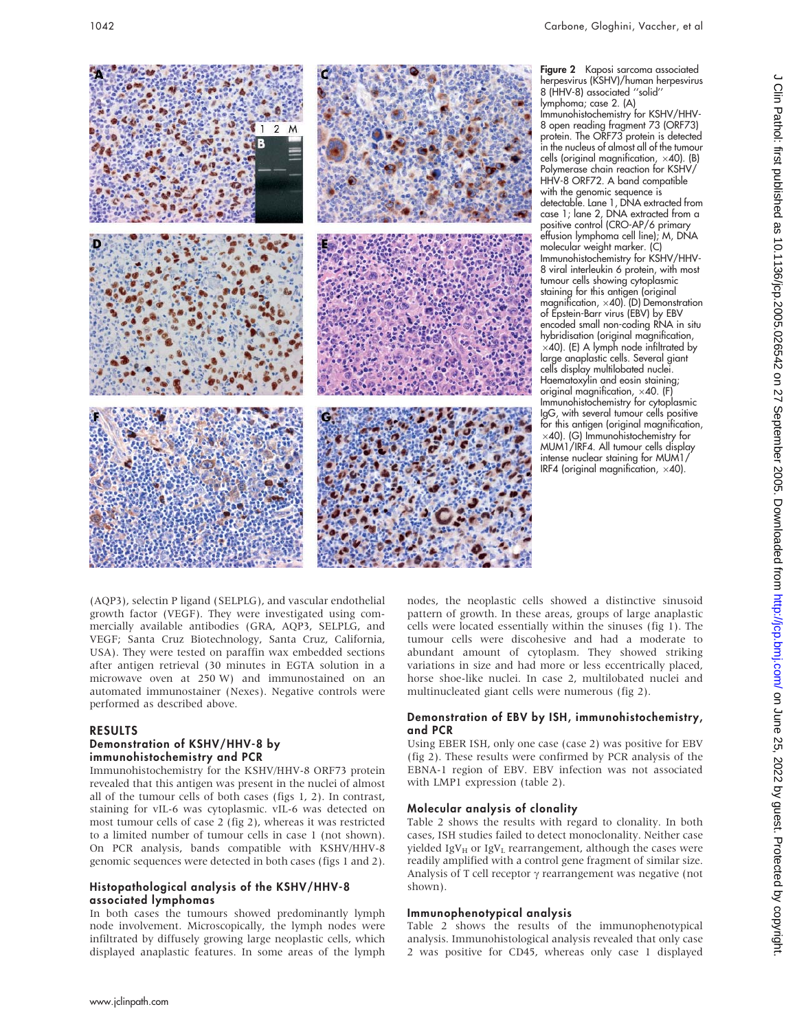

Figure 2 Kaposi sarcoma associated herpesvirus (KSHV)/human herpesvirus 8 (HHV-8) associated ''solid'' lymphoma; case 2. (A) Immunohistochemistry for KSHV/HHV-8 open reading fragment 73 (ORF73) protein. The ORF73 protein is detected in the nucleus of almost all of the tumour cells (original magnification,  $\times$ 40). (B) Polymerase chain reaction for KSHV/ HHV-8 ORF72. A band compatible with the genomic sequence is detectable. Lane 1, DNA extracted from case 1; lane 2, DNA extracted from a positive control (CRO-AP/6 primary effusion lymphoma cell line); M, DNA molecular weight marker. (C) Immunohistochemistry for KSHV/HHV-8 viral interleukin 6 protein, with most tumour cells showing cytoplasmic staining for this antigen (original magnification,  $\times$ 40). (D) Demonstration of Epstein-Barr virus (EBV) by EBV encoded small non-coding RNA in situ hybridisation (original magnification,  $\times$ 40). (E) A lymph node infiltrated by large anaplastic cells. Several giant cells display multilobated nuclei. Haematoxylin and eosin staining; original magnification,  $\times$ 40. (F) Immunohistochemistry for cytoplasmic IgG, with several tumour cells positive for this antigen (original magnification,  $\times$ 40). (G) Immunohistochemistry for MUM1/IRF4. All tumour cells display intense nuclear staining for MUM1/ IRF4 (original magnification,  $\times$ 40).

(AQP3), selectin P ligand (SELPLG), and vascular endothelial growth factor (VEGF). They were investigated using commercially available antibodies (GRA, AQP3, SELPLG, and VEGF; Santa Cruz Biotechnology, Santa Cruz, California, USA). They were tested on paraffin wax embedded sections after antigen retrieval (30 minutes in EGTA solution in a microwave oven at 250 W) and immunostained on an automated immunostainer (Nexes). Negative controls were performed as described above.

## RESULTS

#### Demonstration of KSHV/HHV-8 by immunohistochemistry and PCR

Immunohistochemistry for the KSHV/HHV-8 ORF73 protein revealed that this antigen was present in the nuclei of almost all of the tumour cells of both cases (figs 1, 2). In contrast, staining for vIL-6 was cytoplasmic. vIL-6 was detected on most tumour cells of case 2 (fig 2), whereas it was restricted to a limited number of tumour cells in case 1 (not shown). On PCR analysis, bands compatible with KSHV/HHV-8 genomic sequences were detected in both cases (figs 1 and 2).

#### Histopathological analysis of the KSHV/HHV-8 associated lymphomas

In both cases the tumours showed predominantly lymph node involvement. Microscopically, the lymph nodes were infiltrated by diffusely growing large neoplastic cells, which displayed anaplastic features. In some areas of the lymph nodes, the neoplastic cells showed a distinctive sinusoid pattern of growth. In these areas, groups of large anaplastic cells were located essentially within the sinuses (fig 1). The tumour cells were discohesive and had a moderate to abundant amount of cytoplasm. They showed striking variations in size and had more or less eccentrically placed, horse shoe-like nuclei. In case 2, multilobated nuclei and multinucleated giant cells were numerous (fig 2).

## Demonstration of EBV by ISH, immunohistochemistry, and PCR

Using EBER ISH, only one case (case 2) was positive for EBV (fig 2). These results were confirmed by PCR analysis of the EBNA-1 region of EBV. EBV infection was not associated with LMP1 expression (table 2).

## Molecular analysis of clonality

Table 2 shows the results with regard to clonality. In both cases, ISH studies failed to detect monoclonality. Neither case yielded IgV $_H$  or IgV<sub>L</sub> rearrangement, although the cases were readily amplified with a control gene fragment of similar size. Analysis of T cell receptor  $\gamma$  rearrangement was negative (not shown).

## Immunophenotypical analysis

Table 2 shows the results of the immunophenotypical analysis. Immunohistological analysis revealed that only case 2 was positive for CD45, whereas only case 1 displayed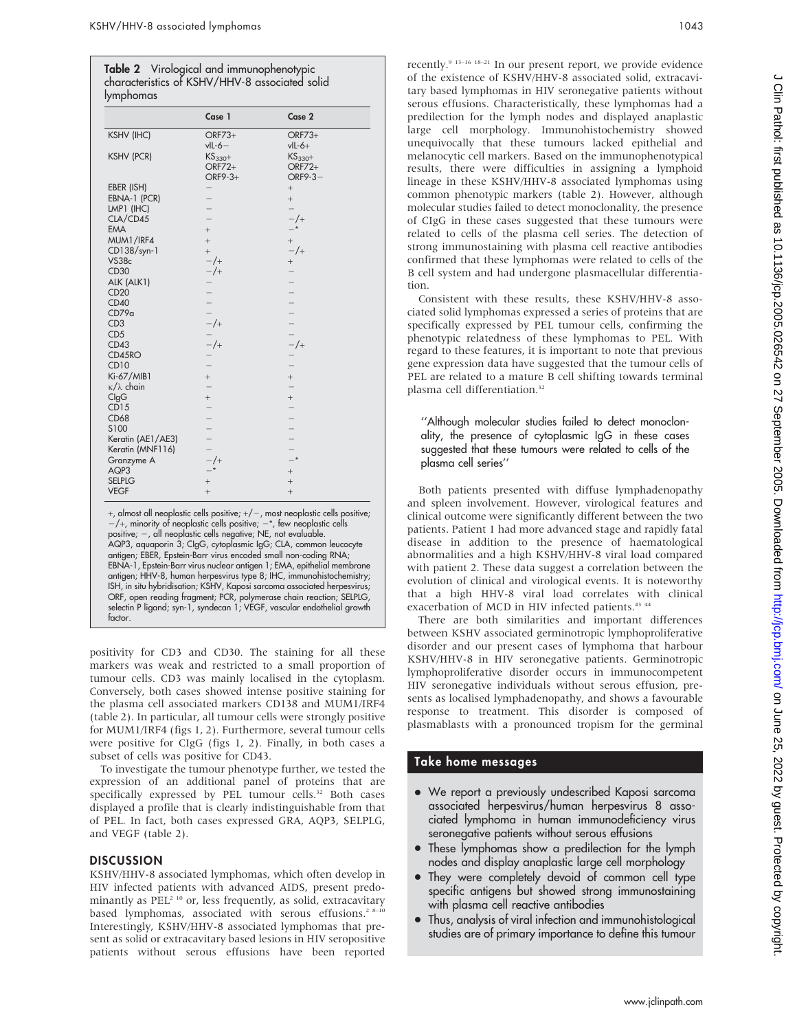| $\mathbf{r}$           |                                  |                                      |  |
|------------------------|----------------------------------|--------------------------------------|--|
|                        | Case 1                           | Case 2                               |  |
| <b>KSHV (IHC)</b>      | $ORF73+$<br>$vIL-6-$             | $ORF73+$<br>$vIL-6+$                 |  |
| <b>KSHV (PCR)</b>      | $KS_{330}+$<br>ORF72+<br>ORF9-3+ | $KS_{330}+$<br>$ORF72+$<br>$ORF9-3-$ |  |
| EBER (ISH)             |                                  | $^{+}$                               |  |
| EBNA-1 (PCR)           |                                  | $^{+}$                               |  |
| LMP1 (IHC)             |                                  | $\equiv$                             |  |
| CLA/CD45               | $\overline{\phantom{0}}$         | $-/-$                                |  |
| <b>EMA</b>             | $^{+}$                           | $-*$                                 |  |
| MUM1/IRF4              | $^{+}$                           | $+$                                  |  |
| CD138/syn-1            | $^{+}$                           | $-/-$                                |  |
| VS38c                  | $-/-$                            | $+$                                  |  |
| CD30                   | $-/-$                            | $\overline{\phantom{0}}$             |  |
| ALK (ALK1)             |                                  |                                      |  |
| CD20                   |                                  |                                      |  |
| CD40                   |                                  | $\overline{a}$                       |  |
| CD79a                  | $\overline{a}$                   |                                      |  |
| CD <sub>3</sub>        | $-$ /+                           | $-$<br>$-$<br>$-$ /+                 |  |
| CD <sub>5</sub>        |                                  |                                      |  |
| CD43                   | $-$ /+                           |                                      |  |
| CD45RO                 |                                  |                                      |  |
| <b>CD10</b>            |                                  | $\overline{a}$                       |  |
| Ki-67/MIB1             | $\qquad \qquad +$                | $^{+}$                               |  |
| $\kappa/\lambda$ chain | $\overline{a}$                   | $\overline{a}$                       |  |
| ClgG                   | $^{+}$                           | $^{+}$                               |  |
| CD15                   | $\overline{a}$                   | $\overline{\phantom{0}}$             |  |
| CD68                   | $\overline{a}$                   | $\overline{a}$                       |  |
| S100                   | $\overline{a}$                   | $\overline{a}$                       |  |
| Keratin (AE1/AE3)      |                                  | $\overline{a}$                       |  |
| Keratin (MNF116)       | $\frac{1}{2}$                    | $\overline{\phantom{0}}$             |  |
| Granzyme A             | $-$ /+                           | $-$ *                                |  |
| AQP3                   | $-$ *                            | $^{+}$                               |  |
| <b>SELPLG</b>          | $^{+}$                           | $^{+}$                               |  |
| <b>VEGF</b>            | $^{+}$                           | $^{+}$                               |  |

+, almost all neoplastic cells positive; +/-, most neoplastic cells positive;  $-$ /+, minority of neoplastic cells positive;  $-$ \*, few neoplastic cells positive; 2, all neoplastic cells negative; NE, not evaluable. AQP3, aquaporin 3; CIgG, cytoplasmic IgG; CLA, common leucocyte antigen; EBER, Epstein-Barr virus encoded small non-coding RNA; EBNA-1, Epstein-Barr virus nuclear antigen 1; EMA, epithelial membrane antigen; HHV-8, human herpesvirus type 8; IHC, immunohistochemistry; ISH, in situ hybridisation; KSHV, Kaposi sarcoma associated herpesvirus; ORF, open reading fragment; PCR, polymerase chain reaction; SELPLG, selectin P ligand; syn-1, syndecan 1; VEGF, vascular endothelial growth factor.

positivity for CD3 and CD30. The staining for all these markers was weak and restricted to a small proportion of tumour cells. CD3 was mainly localised in the cytoplasm. Conversely, both cases showed intense positive staining for the plasma cell associated markers CD138 and MUM1/IRF4 (table 2). In particular, all tumour cells were strongly positive for MUM1/IRF4 (figs 1, 2). Furthermore, several tumour cells were positive for CIgG (figs 1, 2). Finally, in both cases a subset of cells was positive for CD43.

To investigate the tumour phenotype further, we tested the expression of an additional panel of proteins that are specifically expressed by PEL tumour cells.<sup>32</sup> Both cases displayed a profile that is clearly indistinguishable from that of PEL. In fact, both cases expressed GRA, AQP3, SELPLG, and VEGF (table 2).

## **DISCUSSION**

KSHV/HHV-8 associated lymphomas, which often develop in HIV infected patients with advanced AIDS, present predominantly as PEL<sup>2 10</sup> or, less frequently, as solid, extracavitary based lymphomas, associated with serous effusions.<sup>2 8-10</sup> Interestingly, KSHV/HHV-8 associated lymphomas that present as solid or extracavitary based lesions in HIV seropositive patients without serous effusions have been reported

recently.9 13–16 18–21 In our present report, we provide evidence of the existence of KSHV/HHV-8 associated solid, extracavitary based lymphomas in HIV seronegative patients without serous effusions. Characteristically, these lymphomas had a predilection for the lymph nodes and displayed anaplastic large cell morphology. Immunohistochemistry showed unequivocally that these tumours lacked epithelial and melanocytic cell markers. Based on the immunophenotypical results, there were difficulties in assigning a lymphoid lineage in these KSHV/HHV-8 associated lymphomas using common phenotypic markers (table 2). However, although molecular studies failed to detect monoclonality, the presence of CIgG in these cases suggested that these tumours were related to cells of the plasma cell series. The detection of strong immunostaining with plasma cell reactive antibodies confirmed that these lymphomas were related to cells of the B cell system and had undergone plasmacellular differentiation.

Consistent with these results, these KSHV/HHV-8 associated solid lymphomas expressed a series of proteins that are specifically expressed by PEL tumour cells, confirming the phenotypic relatedness of these lymphomas to PEL. With regard to these features, it is important to note that previous gene expression data have suggested that the tumour cells of PEL are related to a mature B cell shifting towards terminal plasma cell differentiation.<sup>32</sup>

''Although molecular studies failed to detect monoclonality, the presence of cytoplasmic IgG in these cases suggested that these tumours were related to cells of the plasma cell series''

Both patients presented with diffuse lymphadenopathy and spleen involvement. However, virological features and clinical outcome were significantly different between the two patients. Patient 1 had more advanced stage and rapidly fatal disease in addition to the presence of haematological abnormalities and a high KSHV/HHV-8 viral load compared with patient 2. These data suggest a correlation between the evolution of clinical and virological events. It is noteworthy that a high HHV-8 viral load correlates with clinical exacerbation of MCD in HIV infected patients.<sup>43 44</sup>

There are both similarities and important differences between KSHV associated germinotropic lymphoproliferative disorder and our present cases of lymphoma that harbour KSHV/HHV-8 in HIV seronegative patients. Germinotropic lymphoproliferative disorder occurs in immunocompetent HIV seronegative individuals without serous effusion, presents as localised lymphadenopathy, and shows a favourable response to treatment. This disorder is composed of plasmablasts with a pronounced tropism for the germinal

## Take home messages

- We report a previously undescribed Kaposi sarcoma associated herpesvirus/human herpesvirus 8 associated lymphoma in human immunodeficiency virus seronegative patients without serous effusions
- These lymphomas show a predilection for the lymph nodes and display anaplastic large cell morphology
- They were completely devoid of common cell type specific antigens but showed strong immunostaining with plasma cell reactive antibodies
- Thus, analysis of viral infection and immunohistological studies are of primary importance to define this tumour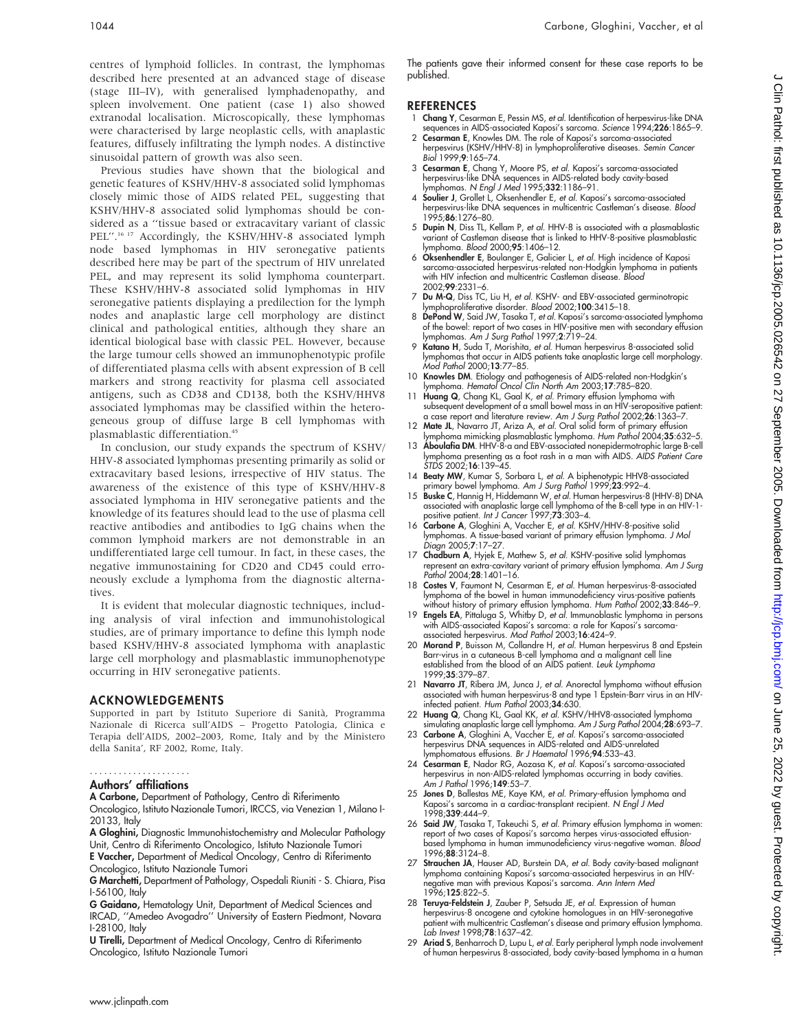centres of lymphoid follicles. In contrast, the lymphomas described here presented at an advanced stage of disease (stage III–IV), with generalised lymphadenopathy, and spleen involvement. One patient (case 1) also showed extranodal localisation. Microscopically, these lymphomas were characterised by large neoplastic cells, with anaplastic features, diffusely infiltrating the lymph nodes. A distinctive sinusoidal pattern of growth was also seen.

Previous studies have shown that the biological and genetic features of KSHV/HHV-8 associated solid lymphomas closely mimic those of AIDS related PEL, suggesting that KSHV/HHV-8 associated solid lymphomas should be considered as a ''tissue based or extracavitary variant of classic PEL".<sup>16 17</sup> Accordingly, the KSHV/HHV-8 associated lymph node based lymphomas in HIV seronegative patients described here may be part of the spectrum of HIV unrelated PEL, and may represent its solid lymphoma counterpart. These KSHV/HHV-8 associated solid lymphomas in HIV seronegative patients displaying a predilection for the lymph nodes and anaplastic large cell morphology are distinct clinical and pathological entities, although they share an identical biological base with classic PEL. However, because the large tumour cells showed an immunophenotypic profile of differentiated plasma cells with absent expression of B cell markers and strong reactivity for plasma cell associated antigens, such as CD38 and CD138, both the KSHV/HHV8 associated lymphomas may be classified within the heterogeneous group of diffuse large B cell lymphomas with plasmablastic differentiation.45

In conclusion, our study expands the spectrum of KSHV/ HHV-8 associated lymphomas presenting primarily as solid or extracavitary based lesions, irrespective of HIV status. The awareness of the existence of this type of KSHV/HHV-8 associated lymphoma in HIV seronegative patients and the knowledge of its features should lead to the use of plasma cell reactive antibodies and antibodies to IgG chains when the common lymphoid markers are not demonstrable in an undifferentiated large cell tumour. In fact, in these cases, the negative immunostaining for CD20 and CD45 could erroneously exclude a lymphoma from the diagnostic alternatives.

It is evident that molecular diagnostic techniques, including analysis of viral infection and immunohistological studies, are of primary importance to define this lymph node based KSHV/HHV-8 associated lymphoma with anaplastic large cell morphology and plasmablastic immunophenotype occurring in HIV seronegative patients.

#### ACKNOWLEDGEMENTS

Supported in part by Istituto Superiore di Sanità, Programma Nazionale di Ricerca sull'AIDS – Progetto Patologia, Clinica e Terapia dell'AIDS, 2002–2003, Rome, Italy and by the Ministero della Sanita', RF 2002, Rome, Italy.

#### Authors' affiliations .....................

A Carbone, Department of Pathology, Centro di Riferimento

Oncologico, Istituto Nazionale Tumori, IRCCS, via Venezian 1, Milano I-20133, Italy

A Gloghini, Diagnostic Immunohistochemistry and Molecular Pathology Unit, Centro di Riferimento Oncologico, Istituto Nazionale Tumori E Vaccher, Department of Medical Oncology, Centro di Riferimento Oncologico, Istituto Nazionale Tumori

G Marchetti, Department of Pathology, Ospedali Riuniti - S. Chiara, Pisa I-56100, Italy

G Gaidano, Hematology Unit, Department of Medical Sciences and IRCAD, ''Amedeo Avogadro'' University of Eastern Piedmont, Novara I-28100, Italy

U Tirelli, Department of Medical Oncology, Centro di Riferimento Oncologico, Istituto Nazionale Tumori

The patients gave their informed consent for these case reports to be published.

#### **REFERENCES**

- 1 Chang Y, Cesarman E, Pessin MS, et al. Identification of herpesvirus-like DNA sequences in AIDS-associated Kaposi's sarcoma. Science 1994;226:1865–9.
- 2 Cesarman E, Knowles DM. The role of Kaposi's sarcoma-associated herpesvirus (KSHV/HHV-8) in lymphoproliferative diseases. Semin Cancer Biol 1999;9:165–74.
- 3 Cesarman E, Chang Y, Moore PS, et al. Kaposi's sarcoma-associated herpesvirus-like DNA sequences in AIDS-related body cavity-based lymphomas. N Engl J Med 1995;332:1186–91.
- 4 Soulier J, Grollet L, Oksenhendler E, et al. Kaposi's sarcoma-associated herpesvirus-like DNA sequences in multicentric Castleman's disease. *Blood*<br>1995;**86**:1276–80.
- 5 Dupin N, Diss TL, Kellam P, et al. HHV-8 is associated with a plasmablastic variant of Castleman disease that is linked to HHV-8-positive plasmablastic lymphoma. Blood 2000;95:1406–12.
- 6 Oksenhendler E, Boulanger E, Galicier L, et al. High incidence of Kaposi sarcoma-associated herpesvirus-related non-Hodgkin lymphoma in patients with HIV infection and multicentric Castleman disease. Blood 2002;99:2331–6.
- 7 Du M-Q, Diss TC, Liu H, et al. KSHV- and EBV-associated germinotropic lymphoproliferative disorder. Blood 2002;100:3415–18.
- 8 DePond W, Said JW, Tasaka T, et al. Kaposi's sarcoma-associated lymphoma of the bowel: report of two cases in HIV-positive men with secondary effusion lymphomas. Am J Surg Pathol 1997;2:719–24.
- 9 Katano H, Suda T, Morishita, et al. Human herpesvirus 8-associated solid lymphomas that occur in AIDS patients take anaplastic large cell morphology. Mod Pathol 2000;13:77–85.
- 10 Knowles DM. Etiology and pathogenesis of AIDS-related non-Hodgkin's
- lymphoma. *Hematol Oncol Clin North Am* 2003;**17**:785–820.<br>11 **Huang Q**, Chang KL, Gaal K, *et al.* Primary effusion lymphoma with subsequent development of a small bowel mass in an HIV-seropositive patient: a case report and literature review. Am J Surg Pathol 2002;26:1363–7.
- 12 Mate JL, Navarro JT, Ariza A, et al. Oral solid form of primary effusion lymphoma mimicking plasmablastic lymphoma. Hum Pathol 2004;35:632-5
- 13 **Aboulafia DM**. HHV-8-a and EBV-associated nonepidermotrophic large B-cell lymphoma presenting as a foot rash in a man with AIDS. *AIDS Patient Care*<br>*STDS 2*002;**16**:139–45.
- 14 **Beaty MW**, Kumar S, Sorbara L, *et al.* A biphenotypic HHV8-associated<br>primary bowel lymphoma. A*m J Surg Pathol* 1999;**23**:992–4.<br>15 **Buske C,** Hannig H, Hiddemann W, *et al.* Human herpesvirus-8 (HHV-8) DNA
- associated with anaplastic large cell lymphoma of the B-cell type in an HIV-1 positive patient. Int J Cancer 1997;73:303-4.
- 16 Carbone A, Gloghini A, Vaccher E, et al. KSHV/HHV-8-positive solid lymphomas. A tissue-based variant of primary effusion lymphoma. J Mol Diagn 2005;7:17–27.
- 17 Chadburn A, Hyjek E, Mathew S, et al. KSHV-positive solid lymphomas represent an extra-cavitary variant of primary effusion lymphoma. Am J Surg Pathol 2004;28:1401–16.
- 18 Costes V, Faumont N, Cesarman E, et al. Human herpesvirus-8-associated lymphoma of the bowel in human immunodeficiency virus-positive patients
- without history of primary effusion lymphoma. *Hum Pathol* 2002;**33**:846–9.<br>19 **Engels EA**, Pittaluga S, Whitby D, *et al.* Immunoblastic lymphoma in persons with AIDS-associated Kaposi's sarcoma: a role for Kaposi's sarcomaassociated herpesvirus. Mod Pathol 2003;16:424–9.
- 20 Morand P, Buisson M, Collandre H, et al. Human herpesvirus 8 and Epstein Barr-virus in a cutaneous B-cell lymphoma and a malignant cell line established from the blood of an AIDS patient. Leuk Lymphoma 1999;35:379–87.
- 21 Navarro JT, Ribera JM, Junca J, et al. Anorectal lymphoma without effusion associated with human herpesvirus-8 and type 1 Epstein-Barr virus in an HIV-<br>infected patient. *Hum Pathol* 2003;**34**:630.
- 22 Huang Q, Chang KL, Gaal KK, et al. KSHV/HHV8-associated lymphoma simulating anaplastic large cell lymphoma. Am J Surg Pathol 2004;28:693–7. 23 Carbone A, Gloghini A, Vaccher E, et al. Kaposi's sarcoma-associated
- herpesvirus DNA sequences in AIDS-related and AIDS-unrelated lymphomatous effusions. Br J Haematol 1996;94:533–43.
- 24 Cesarman E, Nador RG, Aozasa K, et al. Kaposi's sarcoma-associated herpesvirus in non-AIDS-related lymphomas occurring in body cavities. Am J Pathol 1996;149:53–7.
- 25 Jones D, Ballestas ME, Kaye KM, et al. Primary-effusion lymphoma and Kaposi's sarcoma in a cardiac-transplant recipient. N Engl J Med 1998;339:444–9.
- 26 Said JW, Tasaka T, Takeuchi S, et al. Primary effusion lymphoma in women: report of two cases of Kaposi's sarcoma herpes virus-associated effusion-based lymphoma in human immunodeficiency virus-negative woman. Blood 1996;88:3124–8.
- 27 Strauchen JA, Hauser AD, Burstein DA, et al. Body cavity-based malignant lymphoma containing Kaposi's sarcoma-associated herpesvirus in an HIVnegative man with previous Kaposi's sarcoma. Ann Intern Med 1996;125:822–5.
- 28 Teruya-Feldstein J, Zauber P, Setsuda JE, et al. Expression of human herpesvirus-8 oncogene and cytokine homologues in an HIV-seronegative patient with multicentric Castleman's disease and primary effusion lymphoma. Lab Invest 1998;78:1637–42.
- 29 Ariad S, Benharroch D, Lupu L, et al. Early peripheral lymph node involvement of human herpesvirus 8-associated, body cavity-based lymphoma in a human